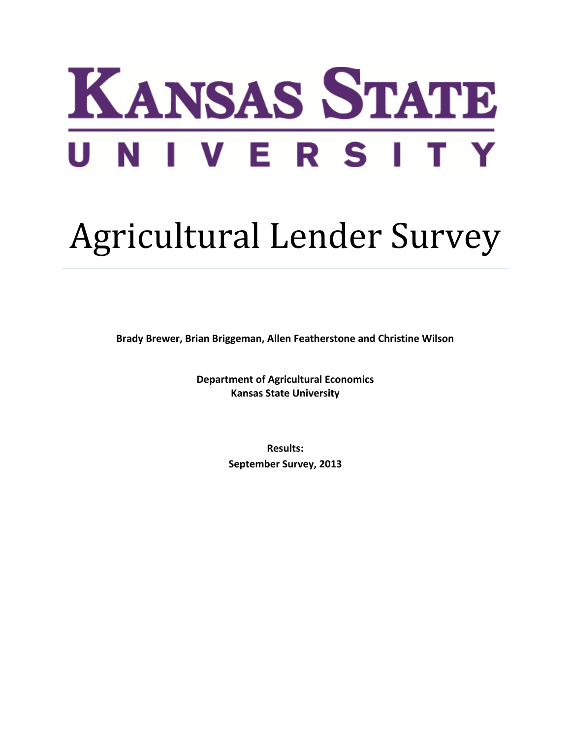# KANSAS STATE UNIVERSIT

# Agricultural Lender Survey

**Brady Brewer, Brian Briggeman, Allen Featherstone and Christine Wilson**

**Department of Agricultural Economics Kansas State University**

> **Results: September Survey, 2013**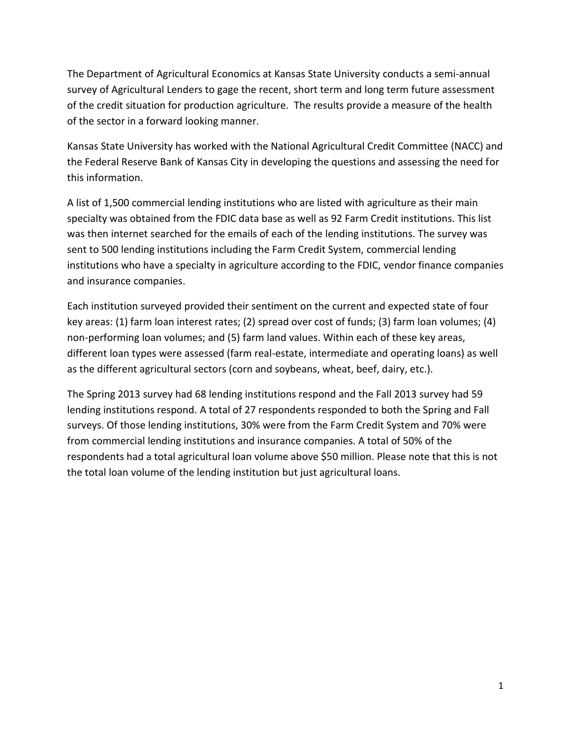The Department of Agricultural Economics at Kansas State University conducts a semi-annual survey of Agricultural Lenders to gage the recent, short term and long term future assessment of the credit situation for production agriculture. The results provide a measure of the health of the sector in a forward looking manner.

Kansas State University has worked with the National Agricultural Credit Committee (NACC) and the Federal Reserve Bank of Kansas City in developing the questions and assessing the need for this information.

A list of 1,500 commercial lending institutions who are listed with agriculture as their main specialty was obtained from the FDIC data base as well as 92 Farm Credit institutions. This list was then internet searched for the emails of each of the lending institutions. The survey was sent to 500 lending institutions including the Farm Credit System, commercial lending institutions who have a specialty in agriculture according to the FDIC, vendor finance companies and insurance companies.

Each institution surveyed provided their sentiment on the current and expected state of four key areas: (1) farm loan interest rates; (2) spread over cost of funds; (3) farm loan volumes; (4) non-performing loan volumes; and (5) farm land values. Within each of these key areas, different loan types were assessed (farm real-estate, intermediate and operating loans) as well as the different agricultural sectors (corn and soybeans, wheat, beef, dairy, etc.).

The Spring 2013 survey had 68 lending institutions respond and the Fall 2013 survey had 59 lending institutions respond. A total of 27 respondents responded to both the Spring and Fall surveys. Of those lending institutions, 30% were from the Farm Credit System and 70% were from commercial lending institutions and insurance companies. A total of 50% of the respondents had a total agricultural loan volume above \$50 million. Please note that this is not the total loan volume of the lending institution but just agricultural loans.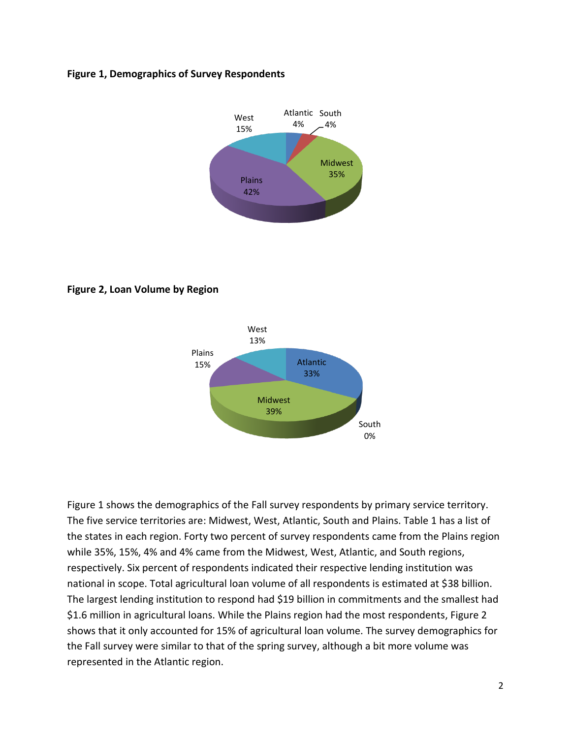#### **Figure 1, Demographics of Survey Respondents**



**Figure 2, Loan Volume by Region**



Figure 1 shows the demographics of the Fall survey respondents by primary service territory. The five service territories are: Midwest, West, Atlantic, South and Plains. Table 1 has a list of the states in each region. Forty two percent of survey respondents came from the Plains region while 35%, 15%, 4% and 4% came from the Midwest, West, Atlantic, and South regions, respectively. Six percent of respondents indicated their respective lending institution was national in scope. Total agricultural loan volume of all respondents is estimated at \$38 billion. The largest lending institution to respond had \$19 billion in commitments and the smallest had \$1.6 million in agricultural loans. While the Plains region had the most respondents, Figure 2 shows that it only accounted for 15% of agricultural loan volume. The survey demographics for the Fall survey were similar to that of the spring survey, although a bit more volume was represented in the Atlantic region.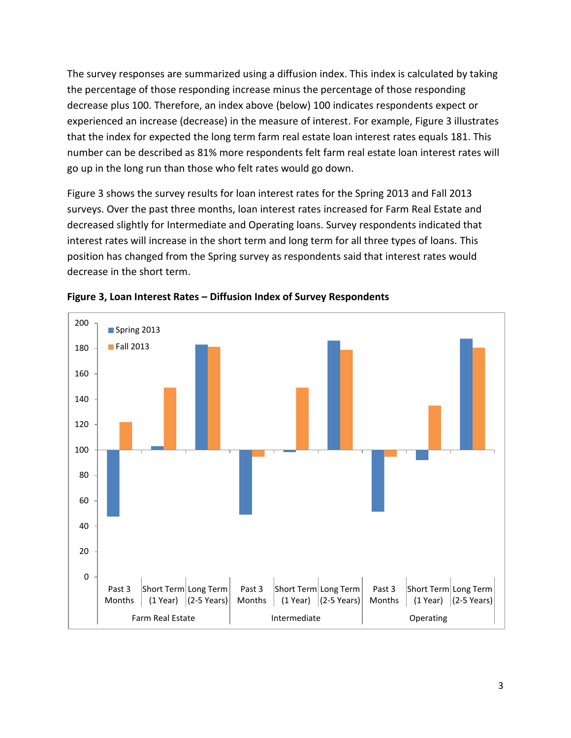The survey responses are summarized using a diffusion index. This index is calculated by taking the percentage of those responding increase minus the percentage of those responding decrease plus 100. Therefore, an index above (below) 100 indicates respondents expect or experienced an increase (decrease) in the measure of interest. For example, Figure 3 illustrates that the index for expected the long term farm real estate loan interest rates equals 181. This number can be described as 81% more respondents felt farm real estate loan interest rates will go up in the long run than those who felt rates would go down.

[Figure 3](#page-3-0) shows the survey results for loan interest rates for the Spring 2013 and Fall 2013 surveys. Over the past three months, loan interest rates increased for Farm Real Estate and decreased slightly for Intermediate and Operating loans. Survey respondents indicated that interest rates will increase in the short term and long term for all three types of loans. This position has changed from the Spring survey as respondents said that interest rates would decrease in the short term.



<span id="page-3-0"></span>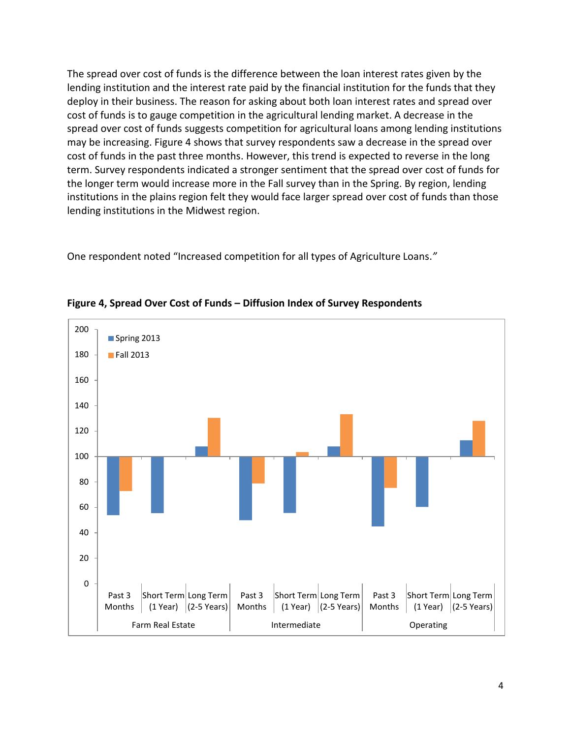The spread over cost of funds is the difference between the loan interest rates given by the lending institution and the interest rate paid by the financial institution for the funds that they deploy in their business. The reason for asking about both loan interest rates and spread over cost of funds is to gauge competition in the agricultural lending market. A decrease in the spread over cost of funds suggests competition for agricultural loans among lending institutions may be increasing. Figure 4 shows that survey respondents saw a decrease in the spread over cost of funds in the past three months. However, this trend is expected to reverse in the long term. Survey respondents indicated a stronger sentiment that the spread over cost of funds for the longer term would increase more in the Fall survey than in the Spring. By region, lending institutions in the plains region felt they would face larger spread over cost of funds than those lending institutions in the Midwest region.

One respondent noted "Increased competition for all types of Agriculture Loans.*"*



**Figure 4, Spread Over Cost of Funds – Diffusion Index of Survey Respondents**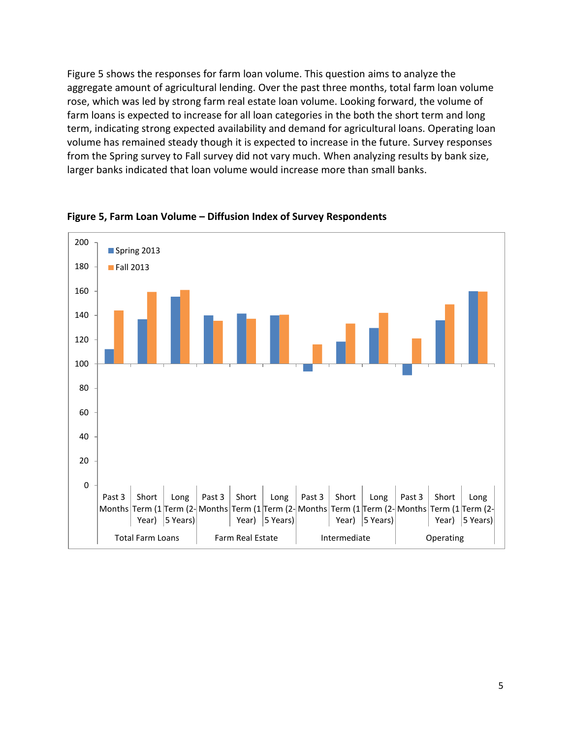[Figure 5](#page-5-0) shows the responses for farm loan volume. This question aims to analyze the aggregate amount of agricultural lending. Over the past three months, total farm loan volume rose, which was led by strong farm real estate loan volume. Looking forward, the volume of farm loans is expected to increase for all loan categories in the both the short term and long term, indicating strong expected availability and demand for agricultural loans. Operating loan volume has remained steady though it is expected to increase in the future. Survey responses from the Spring survey to Fall survey did not vary much. When analyzing results by bank size, larger banks indicated that loan volume would increase more than small banks.



<span id="page-5-0"></span>**Figure 5, Farm Loan Volume – Diffusion Index of Survey Respondents**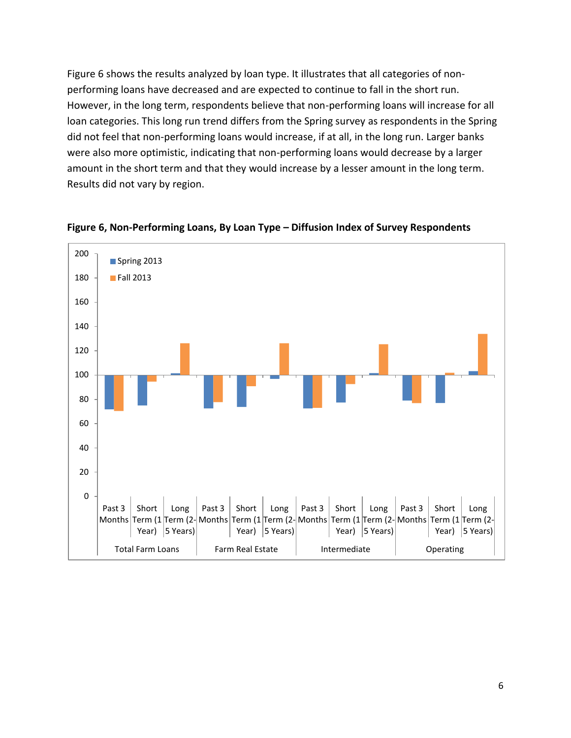Figure 6 shows the results analyzed by loan type. It illustrates that all categories of nonperforming loans have decreased and are expected to continue to fall in the short run. However, in the long term, respondents believe that non-performing loans will increase for all loan categories. This long run trend differs from the Spring survey as respondents in the Spring did not feel that non-performing loans would increase, if at all, in the long run. Larger banks were also more optimistic, indicating that non-performing loans would decrease by a larger amount in the short term and that they would increase by a lesser amount in the long term. Results did not vary by region.



**Figure 6, Non-Performing Loans, By Loan Type – Diffusion Index of Survey Respondents**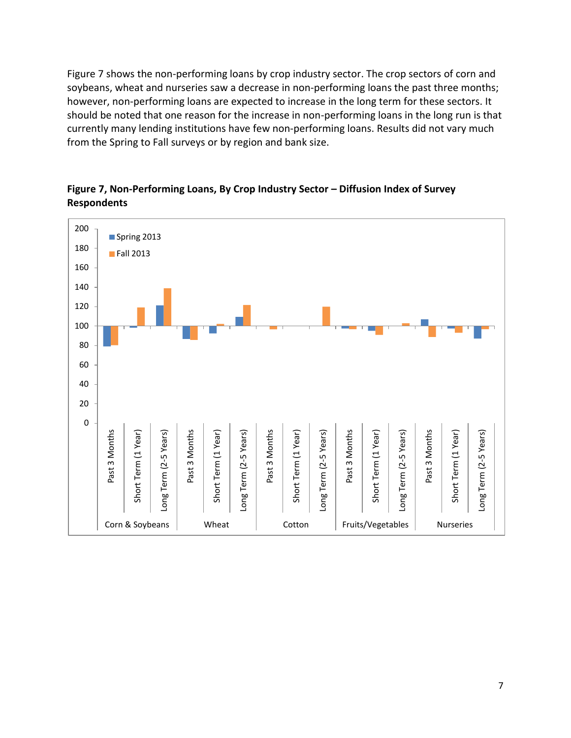Figure 7 shows the non-performing loans by crop industry sector. The crop sectors of corn and soybeans, wheat and nurseries saw a decrease in non-performing loans the past three months; however, non-performing loans are expected to increase in the long term for these sectors. It should be noted that one reason for the increase in non-performing loans in the long run is that currently many lending institutions have few non-performing loans. Results did not vary much from the Spring to Fall surveys or by region and bank size.



## **Figure 7, Non-Performing Loans, By Crop Industry Sector – Diffusion Index of Survey Respondents**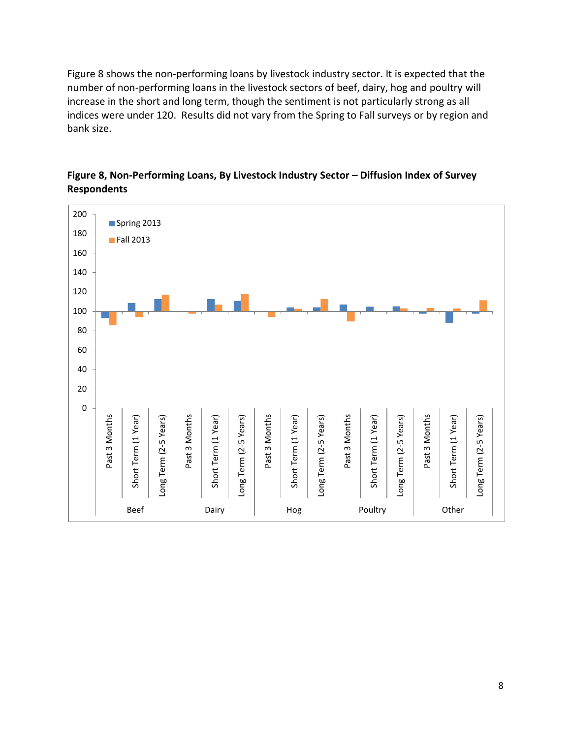Figure 8 shows the non-performing loans by livestock industry sector. It is expected that the number of non-performing loans in the livestock sectors of beef, dairy, hog and poultry will increase in the short and long term, though the sentiment is not particularly strong as all indices were under 120. Results did not vary from the Spring to Fall surveys or by region and bank size.



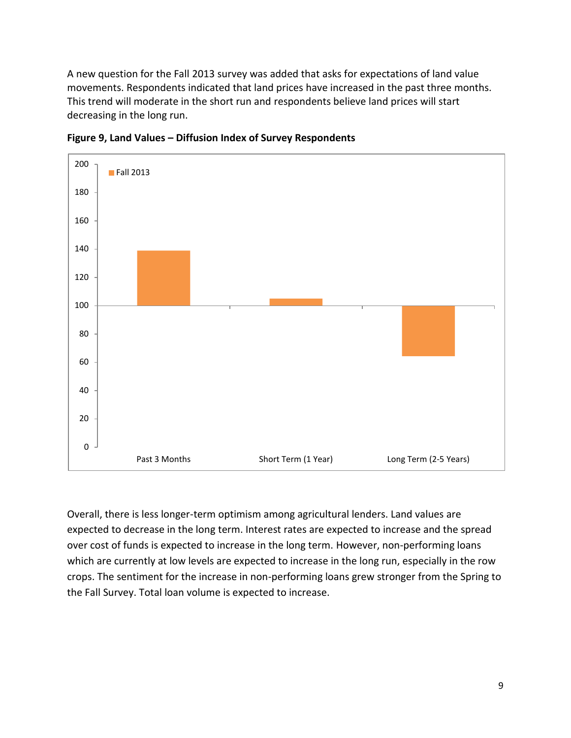A new question for the Fall 2013 survey was added that asks for expectations of land value movements. Respondents indicated that land prices have increased in the past three months. This trend will moderate in the short run and respondents believe land prices will start decreasing in the long run.



**Figure 9, Land Values – Diffusion Index of Survey Respondents**

Overall, there is less longer-term optimism among agricultural lenders. Land values are expected to decrease in the long term. Interest rates are expected to increase and the spread over cost of funds is expected to increase in the long term. However, non-performing loans which are currently at low levels are expected to increase in the long run, especially in the row crops. The sentiment for the increase in non-performing loans grew stronger from the Spring to the Fall Survey. Total loan volume is expected to increase.